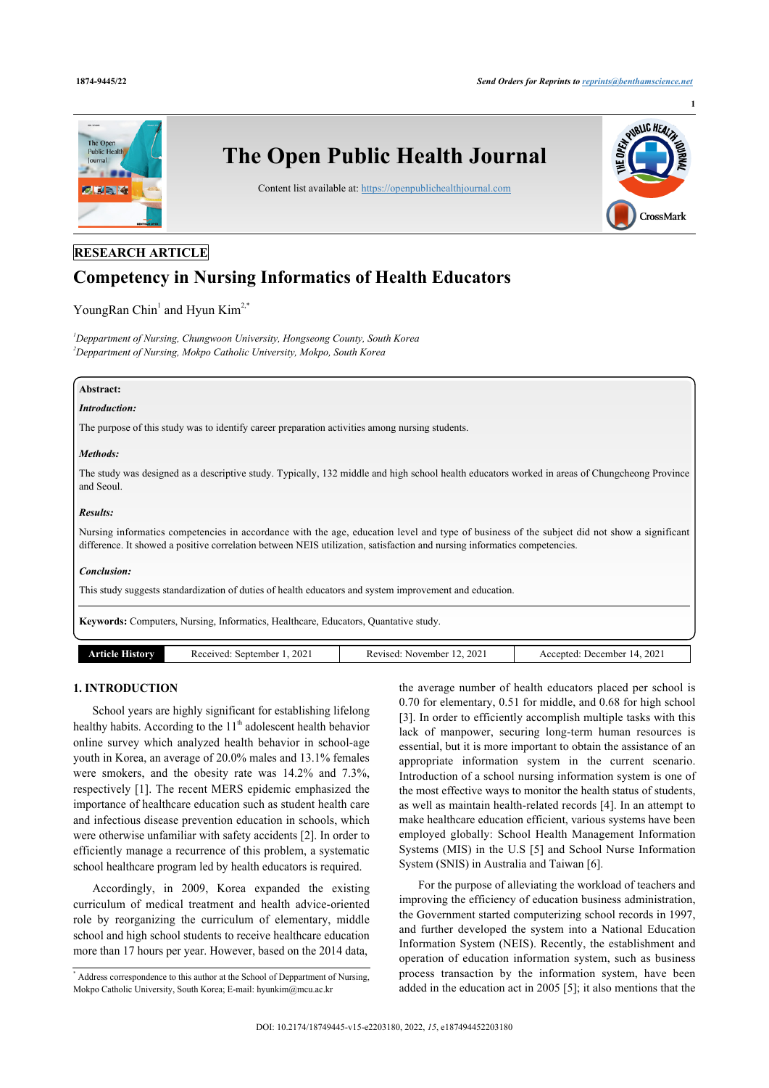**1**



# **RESEARCH ARTICLE**

# **Competency in Nursing Informatics of Health Educators**

YoungRan Chin<sup>[1](#page-0-0)</sup> and Hyun Kim<sup>[2](#page-0-1),[\\*](#page-0-2)</sup>

<span id="page-0-1"></span><span id="page-0-0"></span>*<sup>1</sup>Deppartment of Nursing, Chungwoon University, Hongseong County, South Korea <sup>2</sup>Deppartment of Nursing, Mokpo Catholic University, Mokpo, South Korea*

# **Abstract:**

#### *Introduction:*

The purpose of this study was to identify career preparation activities among nursing students.

#### *Methods:*

The study was designed as a descriptive study. Typically, 132 middle and high school health educators worked in areas of Chungcheong Province and Seoul.

#### *Results:*

Nursing informatics competencies in accordance with the age, education level and type of business of the subject did not show a significant difference. It showed a positive correlation between NEIS utilization, satisfaction and nursing informatics competencies.

#### *Conclusion:*

This study suggests standardization of duties of health educators and system improvement and education.

**Keywords:** Computers, Nursing, Informatics, Healthcare, Educators, Quantative study.

| 202<br>.202'<br>. 2021<br>September<br>December<br>Received<br>November<br>Accepted:<br>Revised:<br>. INOW .<br>тние.<br>w |
|----------------------------------------------------------------------------------------------------------------------------|
|----------------------------------------------------------------------------------------------------------------------------|

# **1. INTRODUCTION**

School years are highly significant for establishing lifelong healthy habits. According to the  $11<sup>th</sup>$  adolescent health behavior online survey which analyzed health behavior in school-age youth in Korea, an average of 20.0% males and 13.1% females were smokers, and the obesity rate was 14.2% and 7.3%, respectively [[1](#page-6-0)]. The recent MERS epidemic emphasized the importance of healthcare education such as student health care and infectious disease prevention education in schools, which were otherwise unfamiliar with safety accidents [[2](#page-6-1)]. In order to efficiently manage a recurrence of this problem, a systematic school healthcare program led by health educators is required.

Accordingly, in 2009, Korea expanded the existing curriculum of medical treatment and health advice-oriented role by reorganizing the curriculum of elementary, middle school and high school students to receive healthcare education more than 17 hours per year. However, based on the 2014 data,

the average number of health educators placed per school is 0.70 for elementary, 0.51 for middle, and 0.68 for high school [[3\]](#page-6-2). In order to efficiently accomplish multiple tasks with this lack of manpower, securing long-term human resources is essential, but it is more important to obtain the assistance of an appropriate information system in the current scenario. Introduction of a school nursing information system is one of the most effective ways to monitor the health status of students, as well as maintain health-related records [[4](#page-6-3)]. In an attempt to make healthcare education efficient, various systems have been employed globally: School Health Management Information Systems (MIS) in the U.S [\[5](#page-6-4)] and School Nurse Information System (SNIS) in Australia and Taiwan [\[6\]](#page-6-5).

For the purpose of alleviating the workload of teachers and improving the efficiency of education business administration, the Government started computerizing school records in 1997, and further developed the system into a National Education Information System (NEIS). Recently, the establishment and operation of education information system, such as business process transaction by the information system, have been added in the education act in 2005 [\[5\]](#page-6-4); it also mentions that the

<span id="page-0-2"></span><sup>\*</sup> Address correspondence to this author at the School of Deppartment of Nursing, Mokpo Catholic University, South Korea; E-mail: [hyunkim@mcu.ac.kr](mailto:hyunkim@mcu.ac.kr)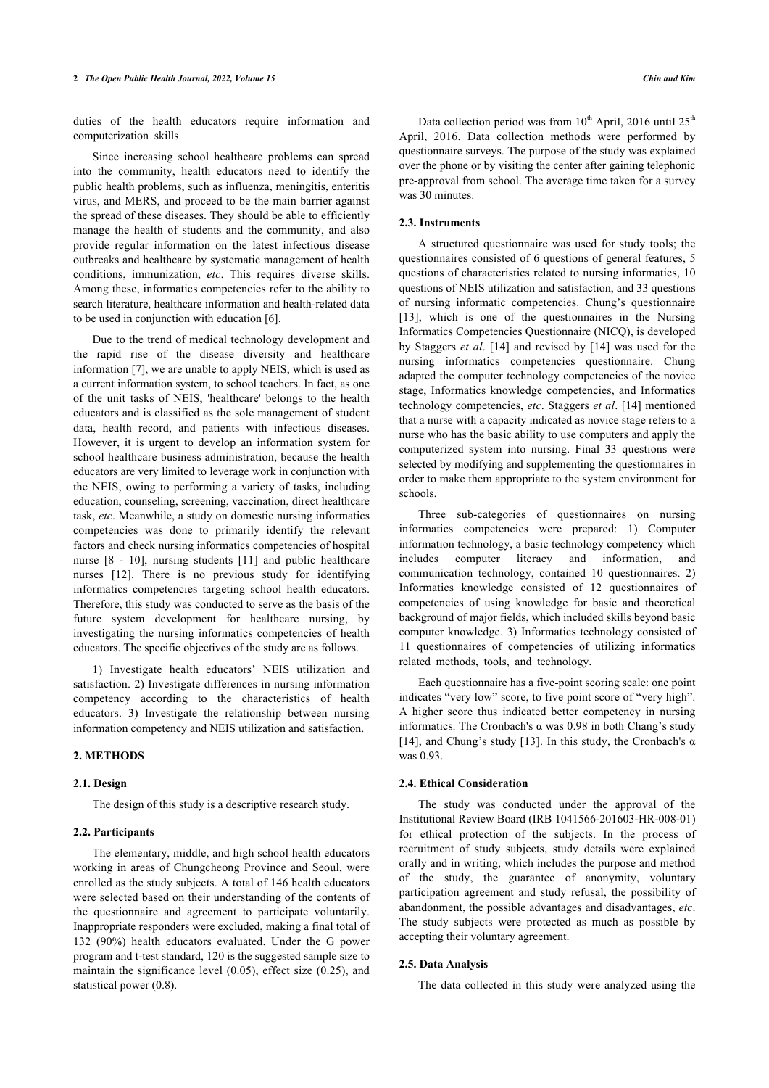duties of the health educators require information and computerization skills.

Since increasing school healthcare problems can spread into the community, health educators need to identify the public health problems, such as influenza, meningitis, enteritis virus, and MERS, and proceed to be the main barrier against the spread of these diseases. They should be able to efficiently manage the health of students and the community, and also provide regular information on the latest infectious disease outbreaks and healthcare by systematic management of health conditions, immunization, *etc*. This requires diverse skills. Among these, informatics competencies refer to the ability to search literature, healthcare information and health-related data to be used in conjunction with education [[6](#page-6-5)].

Due to the trend of medical technology development and the rapid rise of the disease diversity and healthcare information [[7](#page-6-6)], we are unable to apply NEIS, which is used as a current information system, to school teachers. In fact, as one of the unit tasks of NEIS, 'healthcare' belongs to the health educators and is classified as the sole management of student data, health record, and patients with infectious diseases. However, it is urgent to develop an information system for school healthcare business administration, because the health educators are very limited to leverage work in conjunction with the NEIS, owing to performing a variety of tasks, including education, counseling, screening, vaccination, direct healthcare task, *etc*. Meanwhile, a study on domestic nursing informatics competencies was done to primarily identify the relevant factors and check nursing informatics competencies of hospital nurse[[8](#page-6-7) - [10\]](#page-6-8), nursing students[[11\]](#page-6-9) and public healthcare nurses [\[12\]](#page-6-10). There is no previous study for identifying informatics competencies targeting school health educators. Therefore, this study was conducted to serve as the basis of the future system development for healthcare nursing, by investigating the nursing informatics competencies of health educators. The specific objectives of the study are as follows.

1) Investigate health educators' NEIS utilization and satisfaction. 2) Investigate differences in nursing information competency according to the characteristics of health educators. 3) Investigate the relationship between nursing information competency and NEIS utilization and satisfaction.

# **2. METHODS**

#### **2.1. Design**

The design of this study is a descriptive research study.

#### **2.2. Participants**

The elementary, middle, and high school health educators working in areas of Chungcheong Province and Seoul, were enrolled as the study subjects. A total of 146 health educators were selected based on their understanding of the contents of the questionnaire and agreement to participate voluntarily. Inappropriate responders were excluded, making a final total of 132 (90%) health educators evaluated. Under the G power program and t-test standard, 120 is the suggested sample size to maintain the significance level (0.05), effect size (0.25), and statistical power (0.8).

Data collection period was from  $10^{th}$  April, 2016 until  $25^{th}$ April, 2016. Data collection methods were performed by questionnaire surveys. The purpose of the study was explained over the phone or by visiting the center after gaining telephonic pre-approval from school. The average time taken for a survey was 30 minutes.

#### **2.3. Instruments**

A structured questionnaire was used for study tools; the questionnaires consisted of 6 questions of general features, 5 questions of characteristics related to nursing informatics, 10 questions of NEIS utilization and satisfaction, and 33 questions of nursing informatic competencies. Chung's questionnaire [[13](#page-6-11)], which is one of the questionnaires in the Nursing Informatics Competencies Questionnaire (NICQ), is developed by Staggers *et al*. [\[14\]](#page-6-12) and revised by [[14](#page-6-12)] was used for the nursing informatics competencies questionnaire. Chung adapted the computer technology competencies of the novice stage, Informatics knowledge competencies, and Informatics technology competencies, *etc*. Staggers *et al*. [[14\]](#page-6-12) mentioned that a nurse with a capacity indicated as novice stage refers to a nurse who has the basic ability to use computers and apply the computerized system into nursing. Final 33 questions were selected by modifying and supplementing the questionnaires in order to make them appropriate to the system environment for schools.

Three sub-categories of questionnaires on nursing informatics competencies were prepared: 1) Computer information technology, a basic technology competency which includes computer literacy and information, and communication technology, contained 10 questionnaires. 2) Informatics knowledge consisted of 12 questionnaires of competencies of using knowledge for basic and theoretical background of major fields, which included skills beyond basic computer knowledge. 3) Informatics technology consisted of 11 questionnaires of competencies of utilizing informatics related methods, tools, and technology.

Each questionnaire has a five-point scoring scale: one point indicates "very low" score, to five point score of "very high". A higher score thus indicated better competency in nursing informatics. The Cronbach's α was 0.98 in both Chang's study [[14](#page-6-12)], and Chung's study [[13](#page-6-11)]. In this study, the Cronbach's  $\alpha$ was 0.93.

#### **2.4. Ethical Consideration**

The study was conducted under the approval of the Institutional Review Board (IRB 1041566-201603-HR-008-01) for ethical protection of the subjects. In the process of recruitment of study subjects, study details were explained orally and in writing, which includes the purpose and method of the study, the guarantee of anonymity, voluntary participation agreement and study refusal, the possibility of abandonment, the possible advantages and disadvantages, *etc*. The study subjects were protected as much as possible by accepting their voluntary agreement.

#### **2.5. Data Analysis**

The data collected in this study were analyzed using the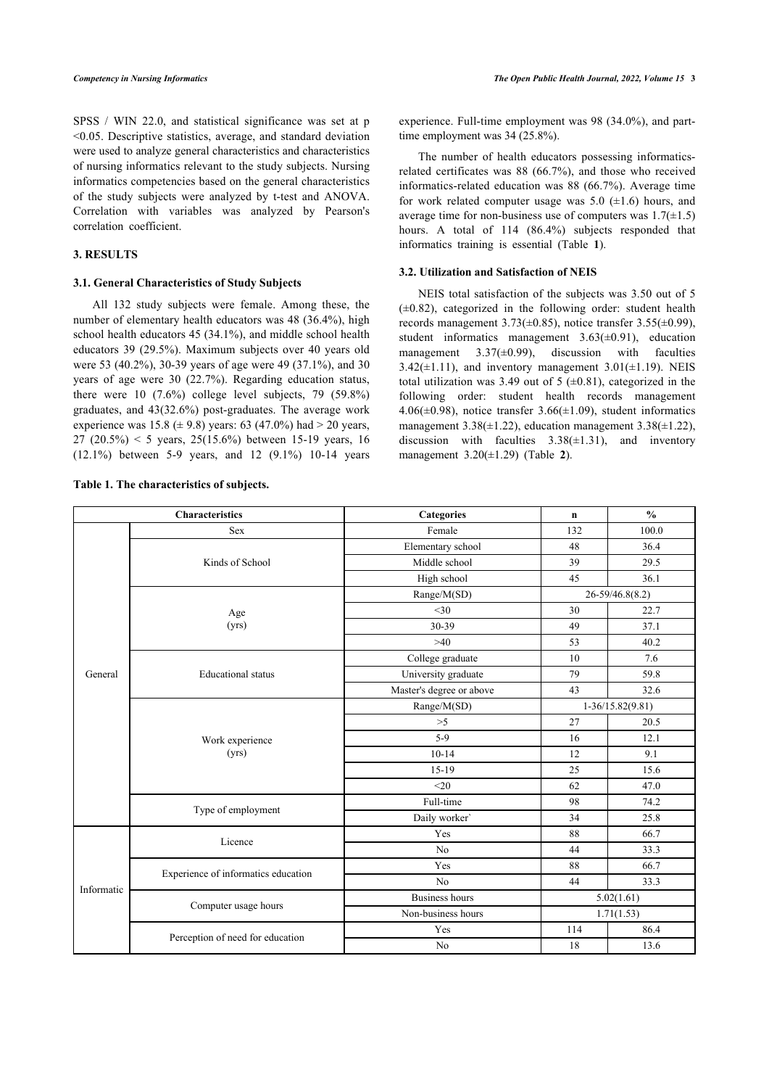SPSS / WIN 22.0, and statistical significance was set at p <0.05. Descriptive statistics, average, and standard deviation were used to analyze general characteristics and characteristics of nursing informatics relevant to the study subjects. Nursing informatics competencies based on the general characteristics of the study subjects were analyzed by t-test and ANOVA. Correlation with variables was analyzed by Pearson's correlation coefficient.

# **3. RESULTS**

#### **3.1. General Characteristics of Study Subjects**

All 132 study subjects were female. Among these, the number of elementary health educators was 48 (36.4%), high school health educators 45 (34.1%), and middle school health educators 39 (29.5%). Maximum subjects over 40 years old were 53 (40.2%), 30-39 years of age were 49 (37.1%), and 30 years of age were 30 (22.7%). Regarding education status, there were 10 (7.6%) college level subjects, 79 (59.8%) graduates, and 43(32.6%) post-graduates. The average work experience was 15.8 ( $\pm$  9.8) years: 63 (47.0%) had  $>$  20 years, 27 (20.5%) < 5 years, 25(15.6%) between 15-19 years, 16 (12.1%) between 5-9 years, and 12 (9.1%) 10-14 years

<span id="page-2-0"></span>**Table 1. The characteristics of subjects.**

experience. Full-time employment was 98 (34.0%), and parttime employment was 34 (25.8%).

The number of health educators possessing informaticsrelated certificates was 88 (66.7%), and those who received informatics-related education was 88 (66.7%). Average time for work related computer usage was  $5.0 \ (\pm 1.6)$  hours, and average time for non-business use of computers was  $1.7(\pm 1.5)$ hours. A total of 114 (86.4%) subjects responded that informatics training is essential (Table**1**).

### **3.2. Utilization and Satisfaction of NEIS**

NEIS total satisfaction of the subjects was 3.50 out of 5  $(\pm 0.82)$ , categorized in the following order: student health records management  $3.73(\pm 0.85)$ , notice transfer  $3.55(\pm 0.99)$ , student informatics management  $3.63(\pm 0.91)$ , education management  $3.37(\pm 0.99)$ , discussion with faculties 3.42( $\pm$ 1.11), and inventory management 3.01( $\pm$ 1.19). NEIS total utilization was 3.49 out of 5  $(\pm 0.81)$ , categorized in the following order: student health records management 4.06( $\pm$ 0.98), notice transfer 3.66( $\pm$ 1.09), student informatics management  $3.38(\pm 1.22)$ , education management  $3.38(\pm 1.22)$ , discussion with faculties  $3.38(\pm 1.31)$ , and inventory management 3.20(±1.29) (Table**2**).

| <b>Characteristics</b> |                                     | <b>Categories</b>        | $\mathbf n$        | $\frac{0}{0}$       |  |
|------------------------|-------------------------------------|--------------------------|--------------------|---------------------|--|
| General                | Sex                                 | Female                   | 132                | 100.0               |  |
|                        |                                     | Elementary school        | 48                 | 36.4                |  |
|                        | Kinds of School                     | Middle school            | 39                 | 29.5                |  |
|                        |                                     | High school              | 45                 | 36.1                |  |
|                        |                                     | Range/M(SD)              |                    | $26 - 59/46.8(8.2)$ |  |
|                        | Age<br>(yrs)                        | $<$ 30                   | 30                 | 22.7                |  |
|                        |                                     | 30-39                    | 49                 | 37.1                |  |
|                        |                                     | >40                      | 53                 | 40.2                |  |
|                        |                                     | College graduate         | 10                 | 7.6                 |  |
|                        | <b>Educational</b> status           | University graduate      | 79                 | 59.8                |  |
|                        |                                     | Master's degree or above | 43                 | 32.6                |  |
|                        |                                     | Range/M(SD)              | $1-36/15.82(9.81)$ |                     |  |
|                        |                                     | >5                       | 27                 | 20.5                |  |
|                        | Work experience<br>(yrs)            | $5-9$                    | 16                 | 12.1                |  |
|                        |                                     | $10 - 14$                | 12                 | 9.1                 |  |
|                        |                                     | $15-19$                  | 25                 | 15.6                |  |
|                        |                                     | <20                      | 62                 | 47.0                |  |
|                        | Type of employment                  | Full-time                | 98                 | 74.2                |  |
|                        |                                     | Daily worker'            | 34                 | 25.8                |  |
|                        | Licence                             | Yes                      | 88                 | 66.7                |  |
|                        |                                     | No                       | 44                 | 33.3                |  |
|                        |                                     | Yes                      | 88                 | 66.7                |  |
| Informatic             | Experience of informatics education | N <sub>o</sub>           | 44                 | 33.3                |  |
|                        | Computer usage hours                | <b>Business hours</b>    | 5.02(1.61)         |                     |  |
|                        |                                     | Non-business hours       |                    | 1.71(1.53)          |  |
|                        |                                     | Yes                      | 114                | 86.4                |  |
|                        | Perception of need for education    | N <sub>o</sub>           | 18                 | 13.6                |  |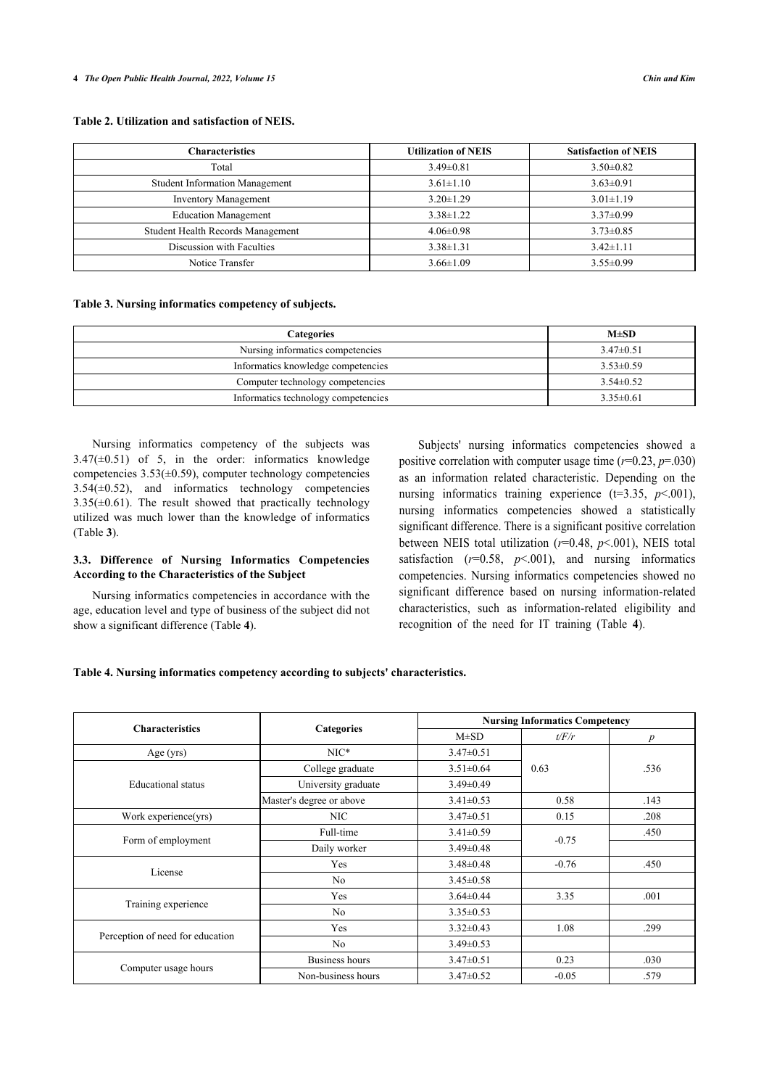# <span id="page-3-0"></span>**Table 2. Utilization and satisfaction of NEIS.**

| <b>Characteristics</b>                | <b>Utilization of NEIS</b> | <b>Satisfaction of NEIS</b> |
|---------------------------------------|----------------------------|-----------------------------|
| Total                                 | $3.49 \pm 0.81$            | $3.50 \pm 0.82$             |
| <b>Student Information Management</b> | $3.61 \pm 1.10$            | $3.63 \pm 0.91$             |
| <b>Inventory Management</b>           | $3.20 \pm 1.29$            | $3.01 \pm 1.19$             |
| <b>Education Management</b>           | $3.38 \pm 1.22$            | $3.37 \pm 0.99$             |
| Student Health Records Management     | $4.06 \pm 0.98$            | $3.73 \pm 0.85$             |
| Discussion with Faculties             | $3.38 \pm 1.31$            | $3.42 \pm 1.11$             |
| Notice Transfer                       | $3.66 \pm 1.09$            | $3.55 \pm 0.99$             |

#### <span id="page-3-1"></span>**Table 3. Nursing informatics competency of subjects.**

| <b>Categories</b>                   | $M \pm SD$      |
|-------------------------------------|-----------------|
| Nursing informatics competencies    | $3.47\pm0.51$   |
| Informatics knowledge competencies  | $3.53 \pm 0.59$ |
| Computer technology competencies    | $3.54 \pm 0.52$ |
| Informatics technology competencies | $3.35 \pm 0.61$ |

Nursing informatics competency of the subjects was  $3.47(\pm 0.51)$  of 5, in the order: informatics knowledge competencies 3.53(±0.59), computer technology competencies  $3.54(\pm 0.52)$ , and informatics technology competencies  $3.35(\pm 0.61)$ . The result showed that practically technology utilized was much lower than the knowledge of informatics (Table **[3](#page-3-1)**).

# **3.3. Difference of Nursing Informatics Competencies According to the Characteristics of the Subject**

Nursing informatics competencies in accordance with the age, education level and type of business of the subject did not show a significant difference (Table **[4](#page-3-2)**).

Subjects' nursing informatics competencies showed a positive correlation with computer usage time  $(r=0.23, p=.030)$ as an information related characteristic. Depending on the nursing informatics training experience  $(t=3.35, p<.001)$ , nursing informatics competencies showed a statistically significant difference. There is a significant positive correlation between NEIS total utilization (*r*=0.48, *p*<.001), NEIS total satisfaction  $(r=0.58, p<.001)$ , and nursing informatics competencies. Nursing informatics competencies showed no significant difference based on nursing information-related characteristics, such as information-related e[lig](#page-3-2)ibility and recognition of the need for IT training (Table **4**).

# <span id="page-3-2"></span>**Table 4. Nursing informatics competency according to subjects' characteristics.**

|                                  |                          | <b>Nursing Informatics Competency</b> |         |                  |
|----------------------------------|--------------------------|---------------------------------------|---------|------------------|
| <b>Characteristics</b>           | Categories<br>$M\pm SD$  |                                       | t/F/r   | $\boldsymbol{p}$ |
| Age $(yrs)$                      | $NIC*$                   | $3.47 \pm 0.51$                       |         |                  |
|                                  | College graduate         | $3.51 \pm 0.64$                       | 0.63    | .536             |
| <b>Educational</b> status        | University graduate      | $3.49 \pm 0.49$                       |         |                  |
|                                  | Master's degree or above | $3.41 \pm 0.53$                       | 0.58    | .143             |
| Work experience(yrs)             | NIC                      | $3.47 \pm 0.51$                       | 0.15    | .208             |
|                                  | Full-time                | $3.41 \pm 0.59$                       | $-0.75$ | .450             |
| Form of employment               | Daily worker             | $3.49 \pm 0.48$                       |         |                  |
| License                          | Yes                      | $3.48 \pm 0.48$                       | $-0.76$ | .450             |
|                                  | N <sub>0</sub>           | $3.45 \pm 0.58$                       |         |                  |
|                                  | Yes                      | $3.64 \pm 0.44$                       | 3.35    | .001             |
| Training experience              | N <sub>0</sub>           | $3.35 \pm 0.53$                       |         |                  |
|                                  | Yes                      | $3.32 \pm 0.43$                       | 1.08    | .299             |
| Perception of need for education | N <sub>0</sub>           | $3.49 \pm 0.53$                       |         |                  |
|                                  | Business hours           | $3.47 \pm 0.51$                       | 0.23    | .030             |
| Computer usage hours             | Non-business hours       | $3.47 \pm 0.52$                       | $-0.05$ | .579             |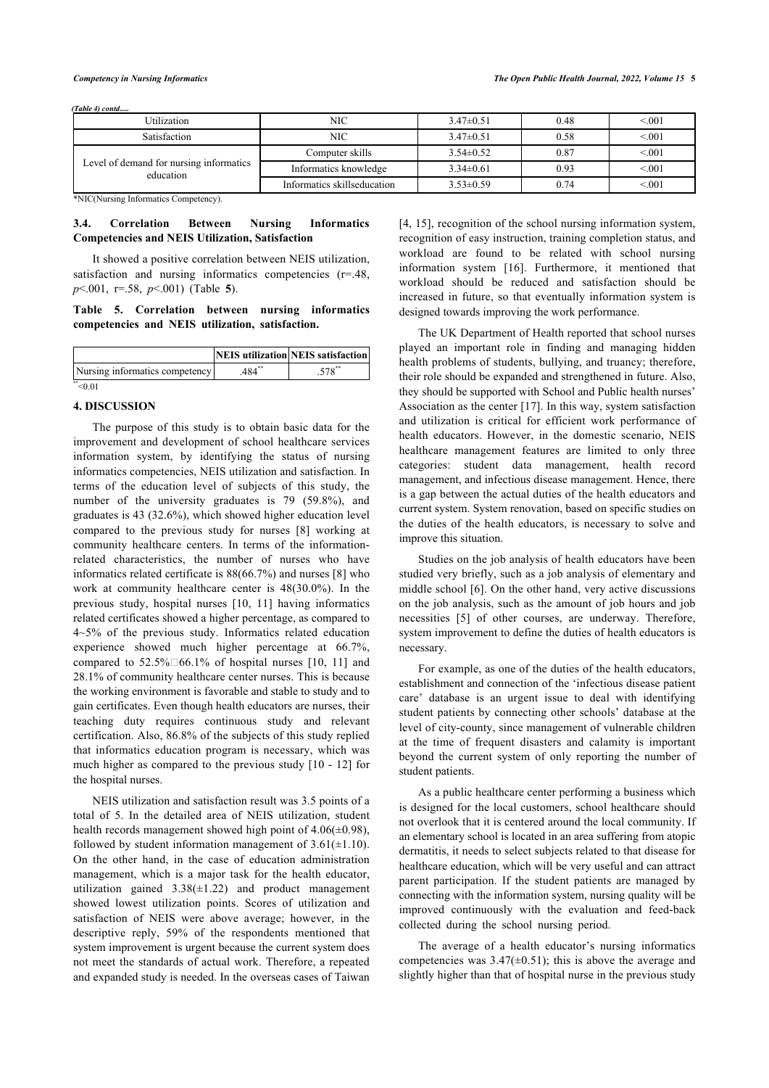*(Table 4) contd.....*

| NIC                         | $3.47\pm0.51$   | 0.48 | < 0.01 |
|-----------------------------|-----------------|------|--------|
| NIC                         | $3.47\pm0.51$   | 0.58 | < 0.01 |
| Computer skills             | $3.54 \pm 0.52$ | 0.87 | < 0.01 |
| Informatics knowledge       | $3.34\pm0.61$   | 0.93 | < 001  |
| Informatics skillseducation | $3.53 \pm 0.59$ | 0.74 | < 0.01 |
|                             |                 |      |        |

\*NIC(Nursing Informatics Competency).

# **3.4. Correlation Between Nursing Informatics Competencies and NEIS Utilization, Satisfaction**

It showed a positive correlation between NEIS utilization, satisfaction and nursing informatics competencies (r=.48, *p*<.001, r=.58, *p*<.001) (Table**5**).

#### <span id="page-4-0"></span>**Table 5. Correlation between nursing informatics competencies and NEIS utilization, satisfaction.**

|                                |     | <b>NEIS</b> utilization NEIS satisfaction |
|--------------------------------|-----|-------------------------------------------|
| Nursing informatics competency | 484 |                                           |
|                                |     |                                           |

#### **4. DISCUSSION**

The purpose of this study is to obtain basic data for the improvement and development of school healthcare services information system, by identifying the status of nursing informatics competencies, NEIS utilization and satisfaction. In terms of the education level of subjects of this study, the number of the university graduates is 79 (59.8%), and graduates is 43 (32.6%), which showed higher education level compared to the previous study for nurses [\[8\]](#page-6-7) working at community healthcare centers. In terms of the informationrelated characteristics, the number of nurses who have informatics related certificate is 88(66.7%) and nurses [[8](#page-6-7)] who work at community healthcare center is 48(30.0%). In the previous study, hospital nurses [\[10](#page-6-8), [11\]](#page-6-9) having informatics related certificates showed a higher percentage, as compared to 4~5% of the previous study. Informatics related education experience showed much higher percentage at 66.7%, comparedto 52.5% $\square$ 66.1% of hospital nurses [[10,](#page-6-8) [11](#page-6-9)] and 28.1% of community healthcare center nurses. This is because the working environment is favorable and stable to study and to gain certificates. Even though health educators are nurses, their teaching duty requires continuous study and relevant certification. Also, 86.8% of the subjects of this study replied that informatics education program is necessary, which was much higher as compared to the previous study [[10](#page-6-8) - [12\]](#page-6-10) for the hospital nurses.

NEIS utilization and satisfaction result was 3.5 points of a total of 5. In the detailed area of NEIS utilization, student health records management showed high point of  $4.06(\pm 0.98)$ , followed by student information management of  $3.61(\pm 1.10)$ . On the other hand, in the case of education administration management, which is a major task for the health educator, utilization gained  $3.38(\pm 1.22)$  and product management showed lowest utilization points. Scores of utilization and satisfaction of NEIS were above average; however, in the descriptive reply, 59% of the respondents mentioned that system improvement is urgent because the current system does not meet the standards of actual work. Therefore, a repeated and expanded study is needed. In the overseas cases of Taiwan

[[4,](#page-6-3) [15\]](#page-6-13), recognition of the school nursing information system, recognition of easy instruction, training completion status, and workload are found to be related with school nursing information system [\[16\]](#page-6-14). Furthermore, it mentioned that workload should be reduced and satisfaction should be increased in future, so that eventually information system is designed towards improving the work performance.

The UK Department of Health reported that school nurses played an important role in finding and managing hidden health problems of students, bullying, and truancy; therefore, their role should be expanded and strengthened in future. Also, they should be supported with School and Public health nurses' Association as the center [\[17](#page-6-15)]. In this way, system satisfaction and utilization is critical for efficient work performance of health educators. However, in the domestic scenario, NEIS healthcare management features are limited to only three categories: student data management, health record management, and infectious disease management. Hence, there is a gap between the actual duties of the health educators and current system. System renovation, based on specific studies on the duties of the health educators, is necessary to solve and improve this situation.

Studies on the job analysis of health educators have been studied very briefly, such as a job analysis of elementary and middle school [\[6\]](#page-6-5). On the other hand, very active discussions on the job analysis, such as the amount of job hours and job necessities[[5](#page-6-4)] of other courses, are underway. Therefore, system improvement to define the duties of health educators is necessary.

For example, as one of the duties of the health educators, establishment and connection of the 'infectious disease patient care' database is an urgent issue to deal with identifying student patients by connecting other schools' database at the level of city-county, since management of vulnerable children at the time of frequent disasters and calamity is important beyond the current system of only reporting the number of student patients.

As a public healthcare center performing a business which is designed for the local customers, school healthcare should not overlook that it is centered around the local community. If an elementary school is located in an area suffering from atopic dermatitis, it needs to select subjects related to that disease for healthcare education, which will be very useful and can attract parent participation. If the student patients are managed by connecting with the information system, nursing quality will be improved continuously with the evaluation and feed-back collected during the school nursing period.

The average of a health educator's nursing informatics competencies was  $3.47(\pm 0.51)$ ; this is above the average and slightly higher than that of hospital nurse in the previous study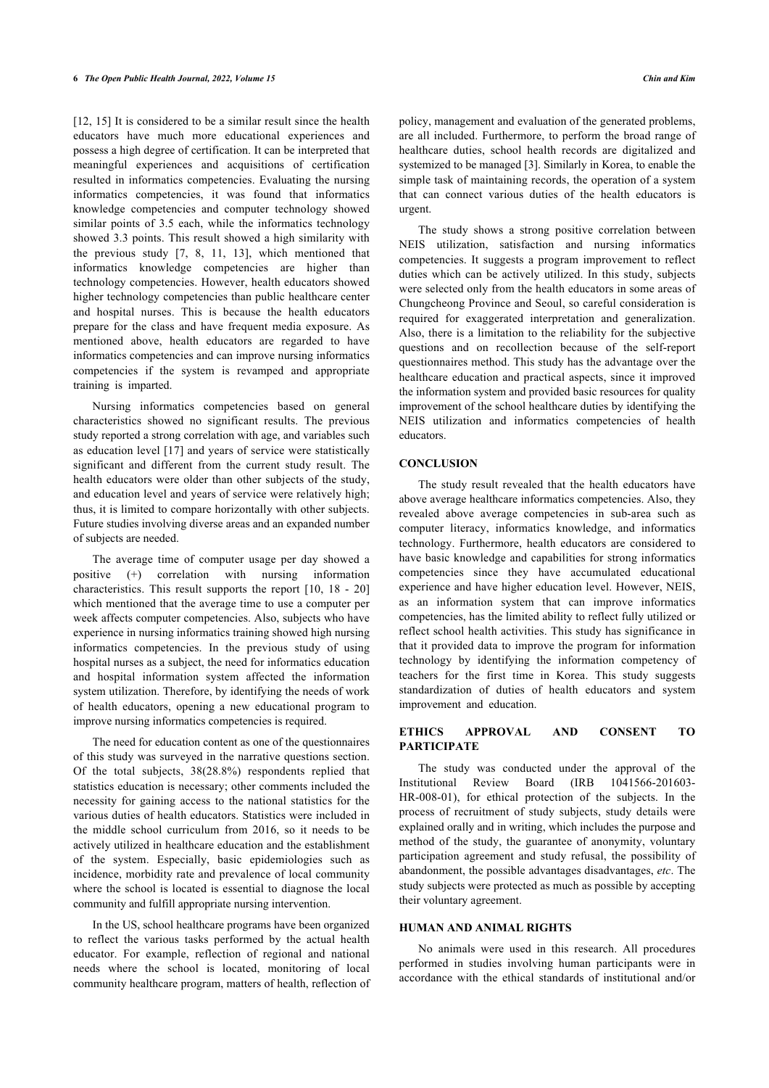[[12,](#page-6-10) [15](#page-6-13)] It is considered to be a similar result since the health educators have much more educational experiences and possess a high degree of certification. It can be interpreted that meaningful experiences and acquisitions of certification resulted in informatics competencies. Evaluating the nursing informatics competencies, it was found that informatics knowledge competencies and computer technology showed similar points of 3.5 each, while the informatics technology showed 3.3 points. This result showed a high similarity with the previous study[[7,](#page-6-6) [8,](#page-6-7) [11,](#page-6-9) [13\]](#page-6-11), which mentioned that informatics knowledge competencies are higher than technology competencies. However, health educators showed higher technology competencies than public healthcare center and hospital nurses. This is because the health educators prepare for the class and have frequent media exposure. As mentioned above, health educators are regarded to have informatics competencies and can improve nursing informatics competencies if the system is revamped and appropriate training is imparted.

Nursing informatics competencies based on general characteristics showed no significant results. The previous study reported a strong correlation with age, and variables such as education level [[17](#page-6-15)] and years of service were statistically significant and different from the current study result. The health educators were older than other subjects of the study, and education level and years of service were relatively high; thus, it is limited to compare horizontally with other subjects. Future studies involving diverse areas and an expanded number of subjects are needed.

The average time of computer usage per day showed a positive (+) correlation with nursing information characteristics. This result supports the report[[10](#page-6-8), [18](#page-6-16) - [20](#page-6-17)] which mentioned that the average time to use a computer per week affects computer competencies. Also, subjects who have experience in nursing informatics training showed high nursing informatics competencies. In the previous study of using hospital nurses as a subject, the need for informatics education and hospital information system affected the information system utilization. Therefore, by identifying the needs of work of health educators, opening a new educational program to improve nursing informatics competencies is required.

The need for education content as one of the questionnaires of this study was surveyed in the narrative questions section. Of the total subjects, 38(28.8%) respondents replied that statistics education is necessary; other comments included the necessity for gaining access to the national statistics for the various duties of health educators. Statistics were included in the middle school curriculum from 2016, so it needs to be actively utilized in healthcare education and the establishment of the system. Especially, basic epidemiologies such as incidence, morbidity rate and prevalence of local community where the school is located is essential to diagnose the local community and fulfill appropriate nursing intervention.

In the US, school healthcare programs have been organized to reflect the various tasks performed by the actual health educator. For example, reflection of regional and national needs where the school is located, monitoring of local community healthcare program, matters of health, reflection of

policy, management and evaluation of the generated problems, are all included. Furthermore, to perform the broad range of healthcare duties, school health records are digitalized and systemized to be managed [\[3\]](#page-6-2). Similarly in Korea, to enable the simple task of maintaining records, the operation of a system that can connect various duties of the health educators is urgent.

The study shows a strong positive correlation between NEIS utilization, satisfaction and nursing informatics competencies. It suggests a program improvement to reflect duties which can be actively utilized. In this study, subjects were selected only from the health educators in some areas of Chungcheong Province and Seoul, so careful consideration is required for exaggerated interpretation and generalization. Also, there is a limitation to the reliability for the subjective questions and on recollection because of the self-report questionnaires method. This study has the advantage over the healthcare education and practical aspects, since it improved the information system and provided basic resources for quality improvement of the school healthcare duties by identifying the NEIS utilization and informatics competencies of health educators.

### **CONCLUSION**

The study result revealed that the health educators have above average healthcare informatics competencies. Also, they revealed above average competencies in sub-area such as computer literacy, informatics knowledge, and informatics technology. Furthermore, health educators are considered to have basic knowledge and capabilities for strong informatics competencies since they have accumulated educational experience and have higher education level. However, NEIS, as an information system that can improve informatics competencies, has the limited ability to reflect fully utilized or reflect school health activities. This study has significance in that it provided data to improve the program for information technology by identifying the information competency of teachers for the first time in Korea. This study suggests standardization of duties of health educators and system improvement and education.

# **ETHICS APPROVAL AND CONSENT TO PARTICIPATE**

The study was conducted under the approval of the Institutional Review Board (IRB 1041566-201603- HR-008-01), for ethical protection of the subjects. In the process of recruitment of study subjects, study details were explained orally and in writing, which includes the purpose and method of the study, the guarantee of anonymity, voluntary participation agreement and study refusal, the possibility of abandonment, the possible advantages disadvantages, *etc*. The study subjects were protected as much as possible by accepting their voluntary agreement.

# **HUMAN AND ANIMAL RIGHTS**

No animals were used in this research. All procedures performed in studies involving human participants were in accordance with the ethical standards of institutional and/or